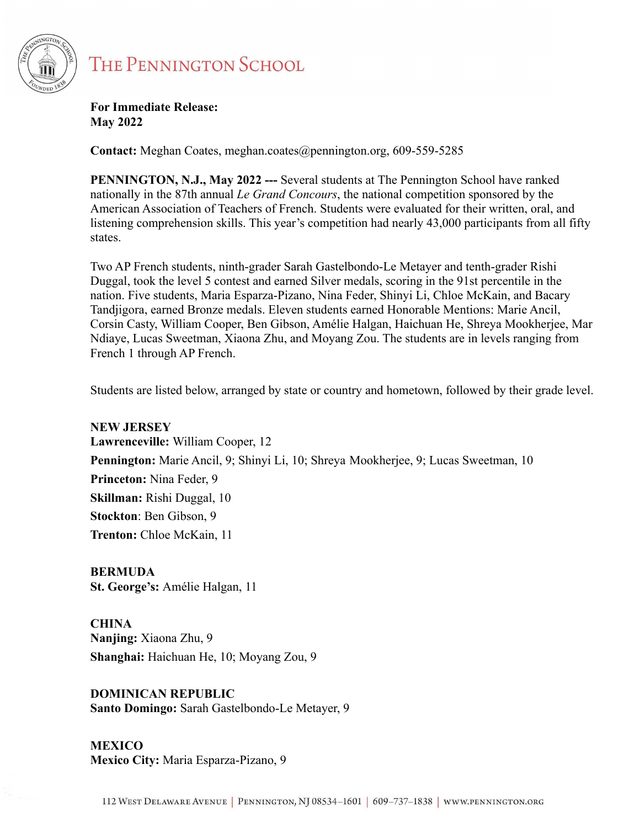

## **THE PENNINGTON SCHOOL**

**For Immediate Release: May 2022**

**Contact:** Meghan Coates, meghan.coates@pennington.org, 609-559-5285

**PENNINGTON, N.J., May 2022 ---** Several students at The Pennington School have ranked nationally in the 87th annual *Le Grand Concours*, the national competition sponsored by the American Association of Teachers of French. Students were evaluated for their written, oral, and listening comprehension skills. This year's competition had nearly 43,000 participants from all fifty states.

Two AP French students, ninth-grader Sarah Gastelbondo-Le Metayer and tenth-grader Rishi Duggal, took the level 5 contest and earned Silver medals, scoring in the 91st percentile in the nation. Five students, Maria Esparza-Pizano, Nina Feder, Shinyi Li, Chloe McKain, and Bacary Tandjigora, earned Bronze medals. Eleven students earned Honorable Mentions: Marie Ancil, Corsin Casty, William Cooper, Ben Gibson, Amélie Halgan, Haichuan He, Shreya Mookherjee, Mar Ndiaye, Lucas Sweetman, Xiaona Zhu, and Moyang Zou. The students are in levels ranging from French 1 through AP French.

Students are listed below, arranged by state or country and hometown, followed by their grade level.

**NEW JERSEY Lawrenceville:** William Cooper, 12 **Pennington:** Marie Ancil, 9; Shinyi Li, 10; Shreya Mookherjee, 9; Lucas Sweetman, 10 **Princeton:** Nina Feder, 9 **Skillman:** Rishi Duggal, 10 **Stockton**: Ben Gibson, 9 **Trenton:** Chloe McKain, 11

**BERMUDA St. George's:** Amélie Halgan, 11

**CHINA Nanjing:** Xiaona Zhu, 9 **Shanghai:** Haichuan He, 10; Moyang Zou, 9

**DOMINICAN REPUBLIC Santo Domingo:** Sarah Gastelbondo-Le Metayer, 9

**MEXICO Mexico City:** Maria Esparza-Pizano, 9